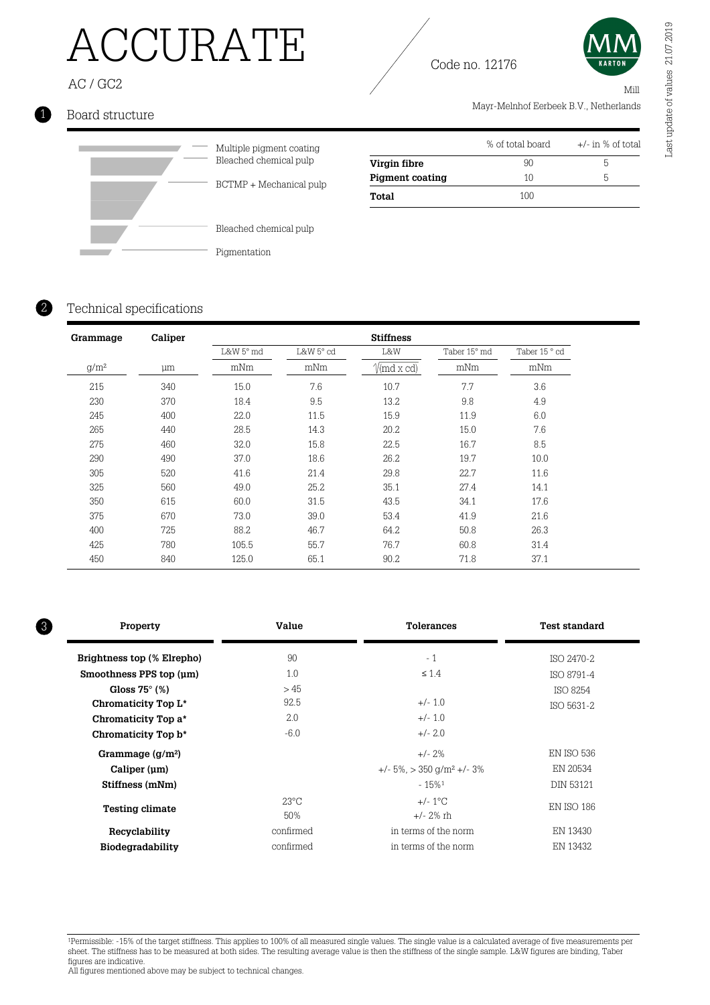# ACCURATE

AC / GC2

### 1 Board structure



| Bleached chemical pulp  |
|-------------------------|
| BCTMP + Mechanical pulp |

Bleached chemical pulp Pigmentation

|                        | % of total board | $+/-$ in % of total |
|------------------------|------------------|---------------------|
| Virgin fibre           | 90               | n.                  |
| <b>Pigment coating</b> | 10               | h                   |
| Total                  | 100              |                     |

Mayr-Melnhof Eerbeek B.V., Netherlands

### Technical specifications

2

| Grammage | Caliper |           |           | <b>Stiffness</b>                |              |               |
|----------|---------|-----------|-----------|---------------------------------|--------------|---------------|
|          |         | L&W 5° md | L&W 5° cd | L&W                             | Taber 15° md | Taber 15 ° cd |
| $g/m^2$  | μm      | mNm       | mNm       | $\sqrt{\text{md }x \text{ cd}}$ | mNm          | mNm           |
| 215      | 340     | 15.0      | 7.6       | 10.7                            | 7.7          | 3.6           |
| 230      | 370     | 18.4      | 9.5       | 13.2                            | 9.8          | 4.9           |
| 245      | 400     | 22.0      | 11.5      | 15.9                            | 11.9         | 6.0           |
| 265      | 440     | 28.5      | 14.3      | 20.2                            | 15.0         | 7.6           |
| 275      | 460     | 32.0      | 15.8      | 22.5                            | 16.7         | 8.5           |
| 290      | 490     | 37.0      | 18.6      | 26.2                            | 19.7         | 10.0          |
| 305      | 520     | 41.6      | 21.4      | 29.8                            | 22.7         | 11.6          |
| 325      | 560     | 49.0      | 25.2      | 35.1                            | 27.4         | 14.1          |
| 350      | 615     | 60.0      | 31.5      | 43.5                            | 34.1         | 17.6          |
| 375      | 670     | 73.0      | 39.0      | 53.4                            | 41.9         | 21.6          |
| 400      | 725     | 88.2      | 46.7      | 64.2                            | 50.8         | 26.3          |
| 425      | 780     | 105.5     | 55.7      | 76.7                            | 60.8         | 31.4          |
| 450      | 840     | 125.0     | 65.1      | 90.2                            | 71.8         | 37.1          |

| 3 | Property                   | Value          | <b>Tolerances</b>                              | <b>Test standard</b> |  |
|---|----------------------------|----------------|------------------------------------------------|----------------------|--|
|   | Brightness top (% Elrepho) | 90             | $-1$                                           | ISO 2470-2           |  |
|   | Smoothness PPS top (um)    | 1.0            | $\leq 1.4$                                     | <b>ISO 8791-4</b>    |  |
|   | Gloss $75^{\circ}$ (%)     | >45            |                                                | ISO 8254             |  |
|   | Chromaticity Top L*        | 92.5           | $+/- 1.0$                                      | ISO 5631-2           |  |
|   | Chromaticity Top a*        | 2.0            | $+/- 1.0$                                      |                      |  |
|   | Chromaticity Top b*        | $-6.0$         | $+/- 2.0$                                      |                      |  |
|   | Grammage $(g/m^2)$         |                | $+/- 2\%$                                      | <b>EN ISO 536</b>    |  |
|   | Caliper (um)               |                | $+/- 5\%$ , $> 350$ g/m <sup>2</sup> $+/- 3\%$ | EN 20534             |  |
|   | Stiffness (mNm)            |                | $-15\%$ <sup>1</sup>                           | <b>DIN 53121</b>     |  |
|   | <b>Testing climate</b>     | $23^{\circ}$ C | $+/- 1^{\circ}$ C                              | <b>EN ISO 186</b>    |  |
|   |                            | 50%            | $+/- 2\%$ rh                                   |                      |  |
|   | Recyclability              | confirmed      | in terms of the norm                           | EN 13430             |  |
|   | Biodegradability           | confirmed      | in terms of the norm                           | EN 13432             |  |
|   |                            |                |                                                |                      |  |

<sup>1</sup>Permissible: -15% of the target stiffness. This applies to 100% of all measured single values. The single value is a calculated average of five measurements per sheet. The stiffness has to be measured at both sides. The resulting average value is then the stiffness of the single sample. L&W figures are binding, Taber figures are indicative.

Mill

Code no. 12176